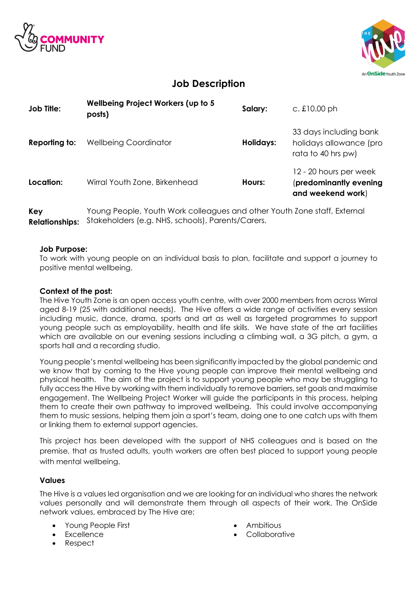



# **Job Description**

| <b>Job Title:</b> | Wellbeing Project Workers (up to 5<br>posts) | Salary:   | c. $£10.00$ ph                                                          |
|-------------------|----------------------------------------------|-----------|-------------------------------------------------------------------------|
| Reporting to:     | <b>Wellbeing Coordinator</b>                 | Holidays: | 33 days including bank<br>holidays allowance (pro<br>rata to 40 hrs pw) |
| Location:         | Wirral Youth Zone, Birkenhead                | Hours:    | 12 - 20 hours per week<br>(predominantly evening<br>and weekend work)   |

**Key Relationships:** Stakeholders (e.g. NHS, schools), Parents/Carers. Young People, Youth Work colleagues and other Youth Zone staff, External

#### **Job Purpose:**

To work with young people on an individual basis to plan, facilitate and support a journey to positive mental wellbeing.

### **Context of the post:**

The Hive Youth Zone is an open access youth centre, with over 2000 members from across Wirral aged 8-19 (25 with additional needs). The Hive offers a wide range of activities every session including music, dance, drama, sports and art as well as targeted programmes to support young people such as employability, health and life skills. We have state of the art facilities which are available on our evening sessions including a climbing wall, a 3G pitch, a gym, a sports hall and a recording studio.

Young people's mental wellbeing has been significantly impacted by the global pandemic and we know that by coming to the Hive young people can improve their mental wellbeing and physical health. The aim of the project is to support young people who may be struggling to fully access the Hive by working with them individually to remove barriers, set goals and maximise engagement. The Wellbeing Project Worker will guide the participants in this process, helping them to create their own pathway to improved wellbeing. This could involve accompanying them to music sessions, helping them join a sport's team, doing one to one catch ups with them or linking them to external support agencies.

This project has been developed with the support of NHS colleagues and is based on the premise, that as trusted adults, youth workers are often best placed to support young people with mental wellbeing.

#### **Values**

The Hive is a values led organisation and we are looking for an individual who shares the network values personally and will demonstrate them through all aspects of their work. The OnSide network values, embraced by The Hive are;

- Young People First
- Excellence
- Respect
- Ambitious
- **Collaborative**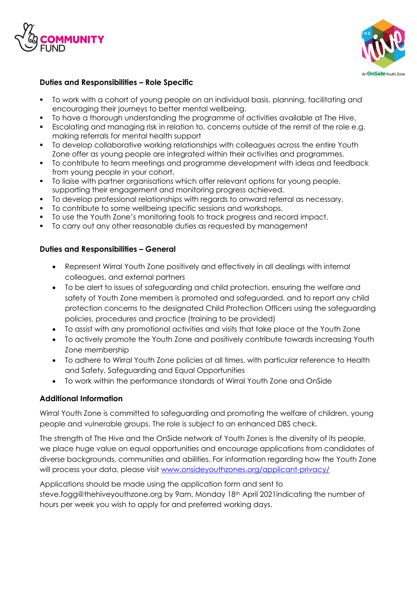



# **Duties and Responsibilities – Role Specific**

- § To work with a cohort of young people on an individual basis, planning, facilitating and encouraging their journeys to better mental wellbeing.
- § To have a thorough understanding the programme of activities available at The Hive.
- § Escalating and managing risk in relation to, concerns outside of the remit of the role e.g. making referrals for mental health support
- § To develop collaborative working relationships with colleagues across the entire Youth Zone offer as young people are integrated within their activities and programmes.
- § To contribute to team meetings and programme development with ideas and feedback from young people in your cohort.
- § To liaise with partner organisations which offer relevant options for young people, supporting their engagement and monitoring progress achieved.
- § To develop professional relationships with regards to onward referral as necessary.
- To contribute to some wellbeing specific sessions and workshops.
- § To use the Youth Zone's monitoring tools to track progress and record impact.
- § To carry out any other reasonable duties as requested by management

#### **Duties and Responsibilities – General**

- Represent Wirral Youth Zone positively and effectively in all dealings with internal colleagues, and external partners
- To be alert to issues of safeguarding and child protection, ensuring the welfare and safety of Youth Zone members is promoted and safeguarded, and to report any child protection concerns to the designated Child Protection Officers using the safeguarding policies, procedures and practice (training to be provided)
- To assist with any promotional activities and visits that take place at the Youth Zone
- To actively promote the Youth Zone and positively contribute towards increasing Youth Zone membership
- To adhere to Wirral Youth Zone policies at all times, with particular reference to Health and Safety, Safeguarding and Equal Opportunities
- To work within the performance standards of Wirral Youth Zone and OnSide

# **Additional Information**

Wirral Youth Zone is committed to safeguarding and promoting the welfare of children, young people and vulnerable groups. The role is subject to an enhanced DBS check.

The strength of The Hive and the OnSide network of Youth Zones is the diversity of its people, we place huge value on equal opportunities and encourage applications from candidates of diverse backgrounds, communities and abilities. For information regarding how the Youth Zone will process your data, please visit www.onsideyouthzones.org/applicant-privacy/

Applications should be made using the application form and sent to steve.fogg@thehiveyouthzone.org by 9am, Monday 18th April 2021indicating the number of hours per week you wish to apply for and preferred working days.